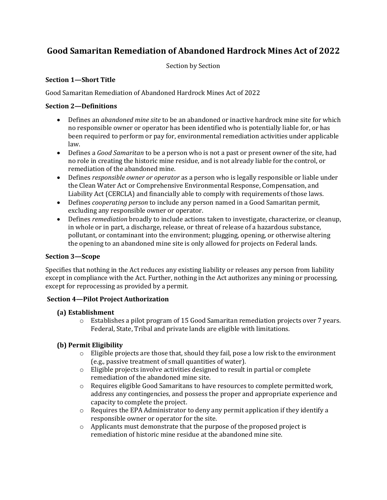# **Good Samaritan Remediation of Abandoned Hardrock Mines Act of 2022**

Section by Section

# **Section 1—Short Title**

Good Samaritan Remediation of Abandoned Hardrock Mines Act of 2022

# **Section 2—Definitions**

- Defines an *abandoned mine site* to be an abandoned or inactive hardrock mine site for which no responsible owner or operator has been identified who is potentially liable for, or has been required to perform or pay for, environmental remediation activities under applicable law.
- Defines a *Good Samaritan* to be a person who is not a past or present owner of the site, had no role in creating the historic mine residue, and is not already liable for the control, or remediation of the abandoned mine.
- Defines *responsible owner or operator* as a person who is legally responsible or liable under the Clean Water Act or Comprehensive Environmental Response, Compensation, and Liability Act (CERCLA) and financially able to comply with requirements of those laws.
- Defines *cooperating person* to include any person named in a Good Samaritan permit, excluding any responsible owner or operator.
- Defines *remediation* broadly to include actions taken to investigate, characterize, or cleanup, in whole or in part, a discharge, release, or threat of release of a hazardous substance, pollutant, or contaminant into the environment; plugging, opening, or otherwise altering the opening to an abandoned mine site is only allowed for projects on Federal lands.

# **Section 3—Scope**

Specifies that nothing in the Act reduces any existing liability or releases any person from liability except in compliance with the Act. Further, nothing in the Act authorizes any mining or processing, except for reprocessing as provided by a permit.

# **Section 4—Pilot Project Authorization**

# **(a) Establishment**

o Establishes a pilot program of 15 Good Samaritan remediation projects over 7 years. Federal, State, Tribal and private lands are eligible with limitations.

# **(b) Permit Eligibility**

- $\circ$  Eligible projects are those that, should they fail, pose a low risk to the environment (e.g., passive treatment of small quantities of water).
- o Eligible projects involve activities designed to result in partial or complete remediation of the abandoned mine site.
- $\circ$  Requires eligible Good Samaritans to have resources to complete permitted work, address any contingencies, and possess the proper and appropriate experience and capacity to complete the project.
- $\circ$  Requires the EPA Administrator to deny any permit application if they identify a responsible owner or operator for the site.
- o Applicants must demonstrate that the purpose of the proposed project is remediation of historic mine residue at the abandoned mine site.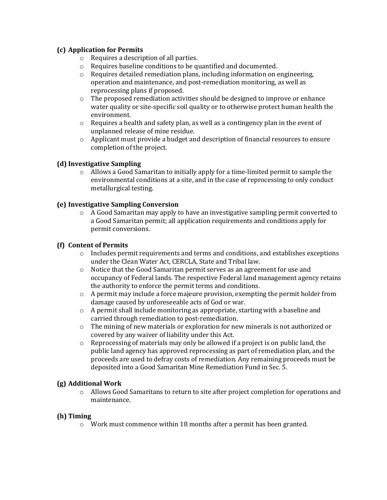# **(c) Application for Permits**

- o Requires a description of all parties.
- o Requires baseline conditions to be quantified and documented.
- o Requires detailed remediation plans, including information on engineering, operation and maintenance, and post-remediation monitoring, as well as reprocessing plans if proposed.
- $\circ$  The proposed remediation activities should be designed to improve or enhance water quality or site-specific soil quality or to otherwise protect human health the environment.
- $\circ$  Requires a health and safety plan, as well as a contingency plan in the event of unplanned release of mine residue.
- $\circ$  Applicant must provide a budget and description of financial resources to ensure completion of the project.

# **(d) Investigative Sampling**

 $\circ$  Allows a Good Samaritan to initially apply for a time-limited permit to sample the environmental conditions at a site, and in the case of reprocessing to only conduct metallurgical testing.

# **(e) Investigative Sampling Conversion**

 $\circ$  A Good Samaritan may apply to have an investigative sampling permit converted to a Good Samaritan permit; all application requirements and conditions apply for permit conversions.

# **(f) Content of Permits**

- o Includes permit requirements and terms and conditions, and establishes exceptions under the Clean Water Act, CERCLA, State and Tribal law.
- o Notice that the Good Samaritan permit serves as an agreement for use and occupancy of Federal lands. The respective Federal land management agency retains the authority to enforce the permit terms and conditions.
- $\circ$  A permit may include a force majeure provision, exempting the permit holder from damage caused by unforeseeable acts of God or war.
- $\circ$  A permit shall include monitoring as appropriate, starting with a baseline and carried through remediation to post-remediation.
- $\circ$  The mining of new materials or exploration for new minerals is not authorized or covered by any waiver of liability under this Act.
- $\circ$  Reprocessing of materials may only be allowed if a project is on public land, the public land agency has approved reprocessing as part of remediation plan, and the proceeds are used to defray costs of remediation. Any remaining proceeds must be deposited into a Good Samaritan Mine Remediation Fund in Sec. 5.

# **(g) Additional Work**

o Allows Good Samaritans to return to site after project completion for operations and maintenance.

# **(h) Timing**

 $\circ$  Work must commence within 18 months after a permit has been granted.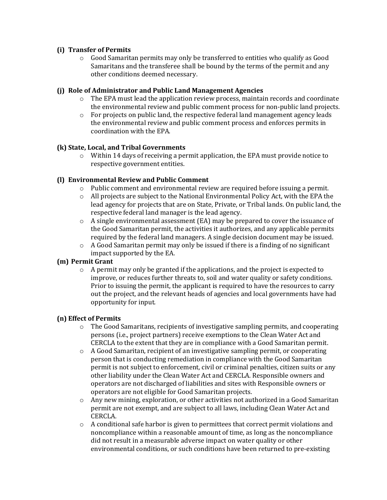# **(i) Transfer of Permits**

 $\circ$  Good Samaritan permits may only be transferred to entities who qualify as Good Samaritans and the transferee shall be bound by the terms of the permit and any other conditions deemed necessary.

# **(j) Role of Administrator and Public Land Management Agencies**

- $\circ$  The EPA must lead the application review process, maintain records and coordinate the environmental review and public comment process for non-public land projects.
- $\circ$  For projects on public land, the respective federal land management agency leads the environmental review and public comment process and enforces permits in coordination with the EPA.

# **(k) State, Local, and Tribal Governments**

 $\circ$  Within 14 days of receiving a permit application, the EPA must provide notice to respective government entities.

# **(l) Environmental Review and Public Comment**

- $\circ$  Public comment and environmental review are required before issuing a permit.
- $\circ$  All projects are subject to the National Environmental Policy Act, with the EPA the lead agency for projects that are on State, Private, or Tribal lands. On public land, the respective federal land manager is the lead agency.
- $\circ$  A single environmental assessment (EA) may be prepared to cover the issuance of the Good Samaritan permit, the activities it authorizes, and any applicable permits required by the federal land managers. A single decision document may be issued.
- $\circ$  A Good Samaritan permit may only be issued if there is a finding of no significant impact supported by the EA.

# **(m) Permit Grant**

 $\circ$  A permit may only be granted if the applications, and the project is expected to improve, or reduces further threats to, soil and water quality or safety conditions. Prior to issuing the permit, the applicant is required to have the resources to carry out the project, and the relevant heads of agencies and local governments have had opportunity for input.

# **(n) Effect of Permits**

- $\circ$  The Good Samaritans, recipients of investigative sampling permits, and cooperating persons (i.e., project partners) receive exemptions to the Clean Water Act and CERCLA to the extent that they are in compliance with a Good Samaritan permit.
- o A Good Samaritan, recipient of an investigative sampling permit, or cooperating person that is conducting remediation in compliance with the Good Samaritan permit is not subject to enforcement, civil or criminal penalties, citizen suits or any other liability under the Clean Water Act and CERCLA. Responsible owners and operators are not discharged of liabilities and sites with Responsible owners or operators are not eligible for Good Samaritan projects.
- $\circ$  Any new mining, exploration, or other activities not authorized in a Good Samaritan permit are not exempt, and are subject to all laws, including Clean Water Act and CERCLA.
- $\circ$  A conditional safe harbor is given to permittees that correct permit violations and noncompliance within a reasonable amount of time, as long as the noncompliance did not result in a measurable adverse impact on water quality or other environmental conditions, or such conditions have been returned to pre-existing